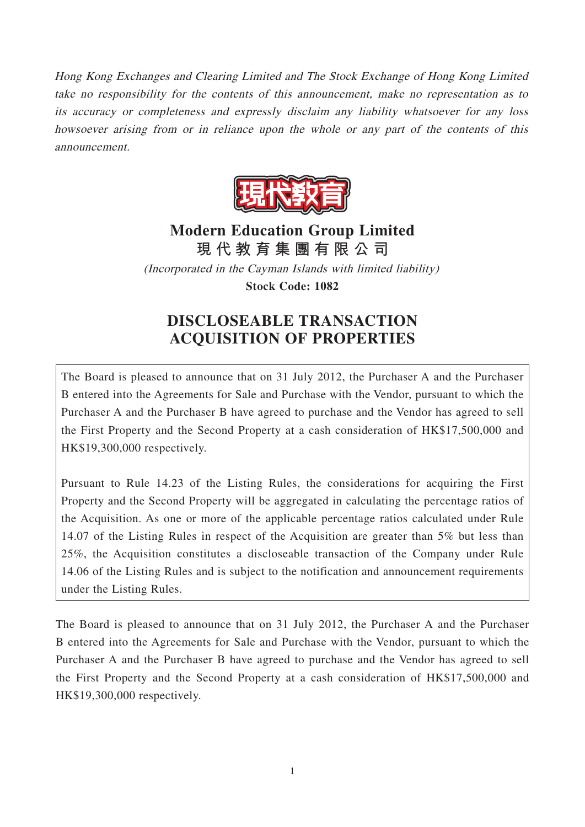Hong Kong Exchanges and Clearing Limited and The Stock Exchange of Hong Kong Limited take no responsibility for the contents of this announcement, make no representation as to its accuracy or completeness and expressly disclaim any liability whatsoever for any loss howsoever arising from or in reliance upon the whole or any part of the contents of this announcement.



# **Modern Education Group Limited 現代教育集團有限公司**

(Incorporated in the Cayman Islands with limited liability) **Stock Code: 1082**

# **DISCLOSEABLE TRANSACTION ACQUISITION OF PROPERTIES**

The Board is pleased to announce that on 31 July 2012, the Purchaser A and the Purchaser B entered into the Agreements for Sale and Purchase with the Vendor, pursuant to which the Purchaser A and the Purchaser B have agreed to purchase and the Vendor has agreed to sell the First Property and the Second Property at a cash consideration of HK\$17,500,000 and HK\$19,300,000 respectively.

Pursuant to Rule 14.23 of the Listing Rules, the considerations for acquiring the First Property and the Second Property will be aggregated in calculating the percentage ratios of the Acquisition. As one or more of the applicable percentage ratios calculated under Rule 14.07 of the Listing Rules in respect of the Acquisition are greater than 5% but less than 25%, the Acquisition constitutes a discloseable transaction of the Company under Rule 14.06 of the Listing Rules and is subject to the notification and announcement requirements under the Listing Rules.

The Board is pleased to announce that on 31 July 2012, the Purchaser A and the Purchaser B entered into the Agreements for Sale and Purchase with the Vendor, pursuant to which the Purchaser A and the Purchaser B have agreed to purchase and the Vendor has agreed to sell the First Property and the Second Property at a cash consideration of HK\$17,500,000 and HK\$19,300,000 respectively.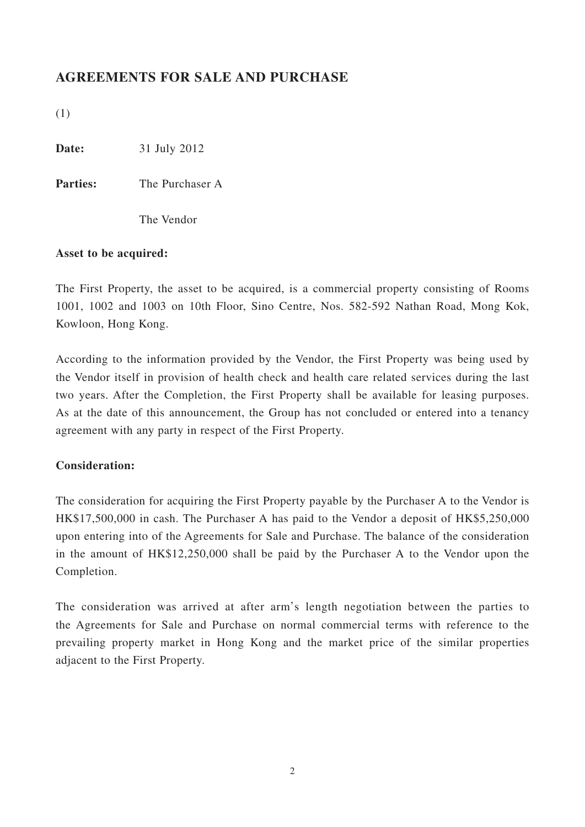### **AGREEMENTS FOR SALE AND PURCHASE**

(1)

**Date:** 31 July 2012

**Parties:** The Purchaser A

The Vendor

#### **Asset to be acquired:**

The First Property, the asset to be acquired, is a commercial property consisting of Rooms 1001, 1002 and 1003 on 10th Floor, Sino Centre, Nos. 582-592 Nathan Road, Mong Kok, Kowloon, Hong Kong.

According to the information provided by the Vendor, the First Property was being used by the Vendor itself in provision of health check and health care related services during the last two years. After the Completion, the First Property shall be available for leasing purposes. As at the date of this announcement, the Group has not concluded or entered into a tenancy agreement with any party in respect of the First Property.

#### **Consideration:**

The consideration for acquiring the First Property payable by the Purchaser A to the Vendor is HK\$17,500,000 in cash. The Purchaser A has paid to the Vendor a deposit of HK\$5,250,000 upon entering into of the Agreements for Sale and Purchase. The balance of the consideration in the amount of HK\$12,250,000 shall be paid by the Purchaser A to the Vendor upon the Completion.

The consideration was arrived at after arm's length negotiation between the parties to the Agreements for Sale and Purchase on normal commercial terms with reference to the prevailing property market in Hong Kong and the market price of the similar properties adjacent to the First Property.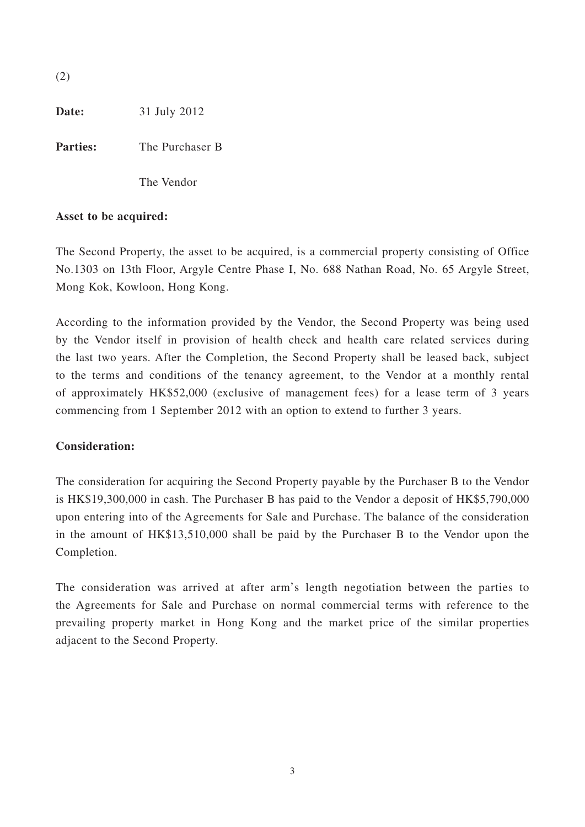(2)

**Date:** 31 July 2012

**Parties:** The Purchaser B

The Vendor

#### **Asset to be acquired:**

The Second Property, the asset to be acquired, is a commercial property consisting of Office No.1303 on 13th Floor, Argyle Centre Phase I, No. 688 Nathan Road, No. 65 Argyle Street, Mong Kok, Kowloon, Hong Kong.

According to the information provided by the Vendor, the Second Property was being used by the Vendor itself in provision of health check and health care related services during the last two years. After the Completion, the Second Property shall be leased back, subject to the terms and conditions of the tenancy agreement, to the Vendor at a monthly rental of approximately HK\$52,000 (exclusive of management fees) for a lease term of 3 years commencing from 1 September 2012 with an option to extend to further 3 years.

#### **Consideration:**

The consideration for acquiring the Second Property payable by the Purchaser B to the Vendor is HK\$19,300,000 in cash. The Purchaser B has paid to the Vendor a deposit of HK\$5,790,000 upon entering into of the Agreements for Sale and Purchase. The balance of the consideration in the amount of HK\$13,510,000 shall be paid by the Purchaser B to the Vendor upon the Completion.

The consideration was arrived at after arm's length negotiation between the parties to the Agreements for Sale and Purchase on normal commercial terms with reference to the prevailing property market in Hong Kong and the market price of the similar properties adjacent to the Second Property.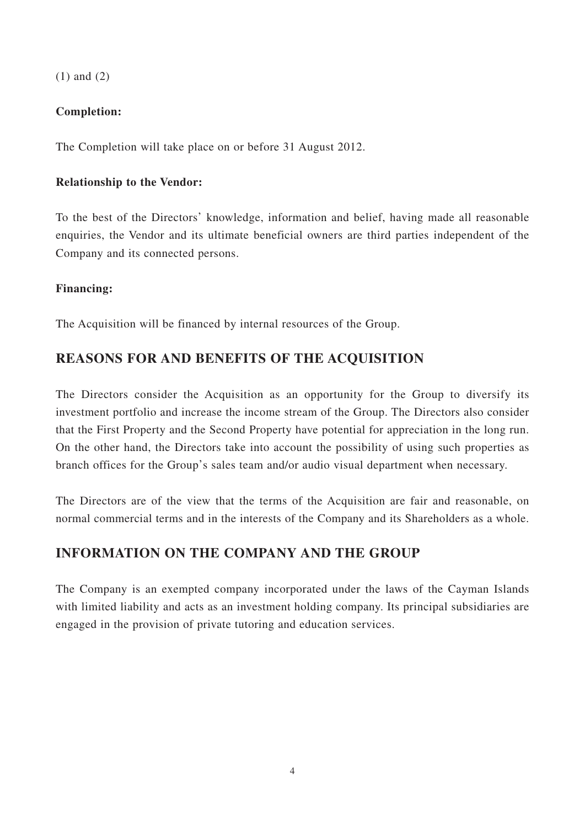(1) and (2)

#### **Completion:**

The Completion will take place on or before 31 August 2012.

#### **Relationship to the Vendor:**

To the best of the Directors' knowledge, information and belief, having made all reasonable enquiries, the Vendor and its ultimate beneficial owners are third parties independent of the Company and its connected persons.

#### **Financing:**

The Acquisition will be financed by internal resources of the Group.

### **REASONS FOR AND BENEFITS OF THE ACQUISITION**

The Directors consider the Acquisition as an opportunity for the Group to diversify its investment portfolio and increase the income stream of the Group. The Directors also consider that the First Property and the Second Property have potential for appreciation in the long run. On the other hand, the Directors take into account the possibility of using such properties as branch offices for the Group's sales team and/or audio visual department when necessary.

The Directors are of the view that the terms of the Acquisition are fair and reasonable, on normal commercial terms and in the interests of the Company and its Shareholders as a whole.

### **INFORMATION ON THE COMPANY AND THE GROUP**

The Company is an exempted company incorporated under the laws of the Cayman Islands with limited liability and acts as an investment holding company. Its principal subsidiaries are engaged in the provision of private tutoring and education services.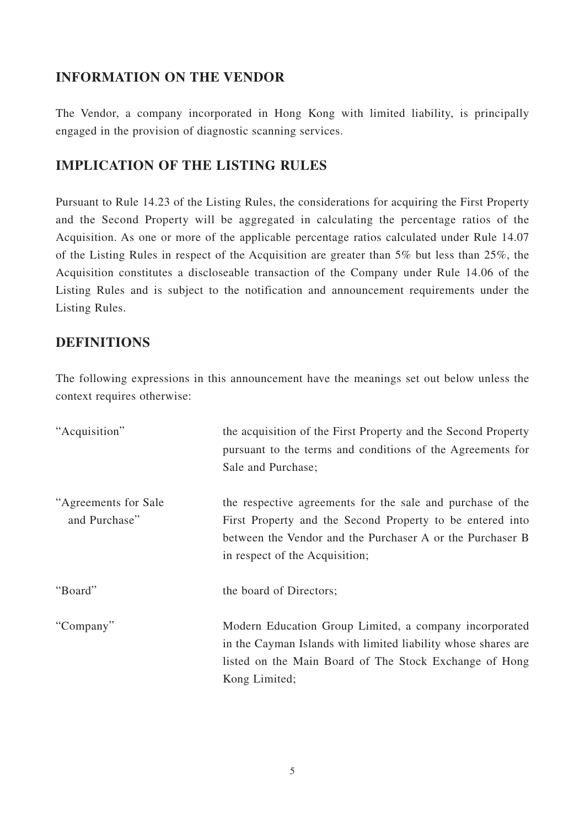### **INFORMATION ON THE VENDOR**

The Vendor, a company incorporated in Hong Kong with limited liability, is principally engaged in the provision of diagnostic scanning services.

## **IMPLICATION OF THE LISTING RULES**

Pursuant to Rule 14.23 of the Listing Rules, the considerations for acquiring the First Property and the Second Property will be aggregated in calculating the percentage ratios of the Acquisition. As one or more of the applicable percentage ratios calculated under Rule 14.07 of the Listing Rules in respect of the Acquisition are greater than 5% but less than 25%, the Acquisition constitutes a discloseable transaction of the Company under Rule 14.06 of the Listing Rules and is subject to the notification and announcement requirements under the Listing Rules.

### **DEFINITIONS**

The following expressions in this announcement have the meanings set out below unless the context requires otherwise:

| "Acquisition"                          | the acquisition of the First Property and the Second Property<br>pursuant to the terms and conditions of the Agreements for<br>Sale and Purchase;                                                                      |
|----------------------------------------|------------------------------------------------------------------------------------------------------------------------------------------------------------------------------------------------------------------------|
| "Agreements for Sale"<br>and Purchase" | the respective agreements for the sale and purchase of the<br>First Property and the Second Property to be entered into<br>between the Vendor and the Purchaser A or the Purchaser B<br>in respect of the Acquisition; |
| "Board"                                | the board of Directors;                                                                                                                                                                                                |
| "Company"                              | Modern Education Group Limited, a company incorporated<br>in the Cayman Islands with limited liability whose shares are<br>listed on the Main Board of The Stock Exchange of Hong<br>Kong Limited;                     |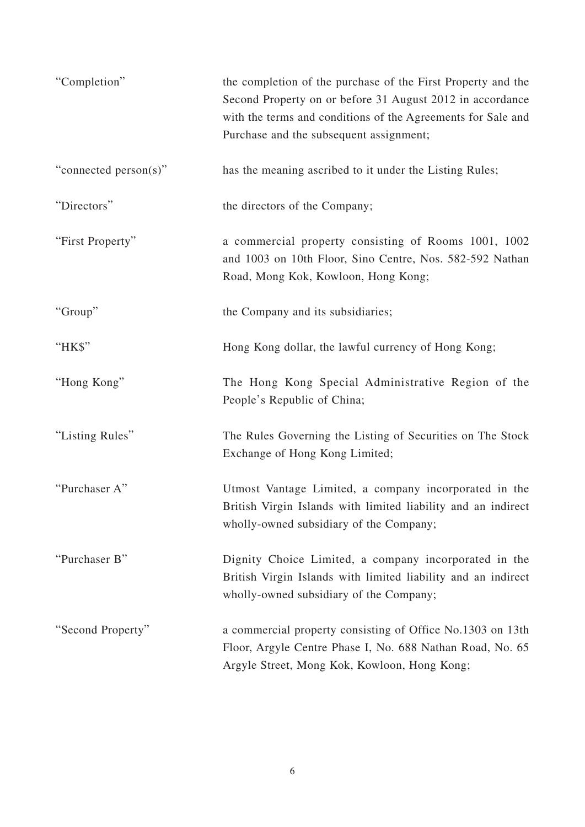| "Completion"          | the completion of the purchase of the First Property and the<br>Second Property on or before 31 August 2012 in accordance<br>with the terms and conditions of the Agreements for Sale and<br>Purchase and the subsequent assignment; |
|-----------------------|--------------------------------------------------------------------------------------------------------------------------------------------------------------------------------------------------------------------------------------|
| "connected person(s)" | has the meaning ascribed to it under the Listing Rules;                                                                                                                                                                              |
| "Directors"           | the directors of the Company;                                                                                                                                                                                                        |
| "First Property"      | a commercial property consisting of Rooms 1001, 1002<br>and 1003 on 10th Floor, Sino Centre, Nos. 582-592 Nathan<br>Road, Mong Kok, Kowloon, Hong Kong;                                                                              |
| "Group"               | the Company and its subsidiaries;                                                                                                                                                                                                    |
| "HK\$"                | Hong Kong dollar, the lawful currency of Hong Kong;                                                                                                                                                                                  |
| "Hong Kong"           | The Hong Kong Special Administrative Region of the<br>People's Republic of China;                                                                                                                                                    |
| "Listing Rules"       | The Rules Governing the Listing of Securities on The Stock<br>Exchange of Hong Kong Limited;                                                                                                                                         |
| "Purchaser A"         | Utmost Vantage Limited, a company incorporated in the<br>British Virgin Islands with limited liability and an indirect<br>wholly-owned subsidiary of the Company;                                                                    |
| "Purchaser B"         | Dignity Choice Limited, a company incorporated in the<br>British Virgin Islands with limited liability and an indirect<br>wholly-owned subsidiary of the Company;                                                                    |
| "Second Property"     | a commercial property consisting of Office No.1303 on 13th<br>Floor, Argyle Centre Phase I, No. 688 Nathan Road, No. 65<br>Argyle Street, Mong Kok, Kowloon, Hong Kong;                                                              |